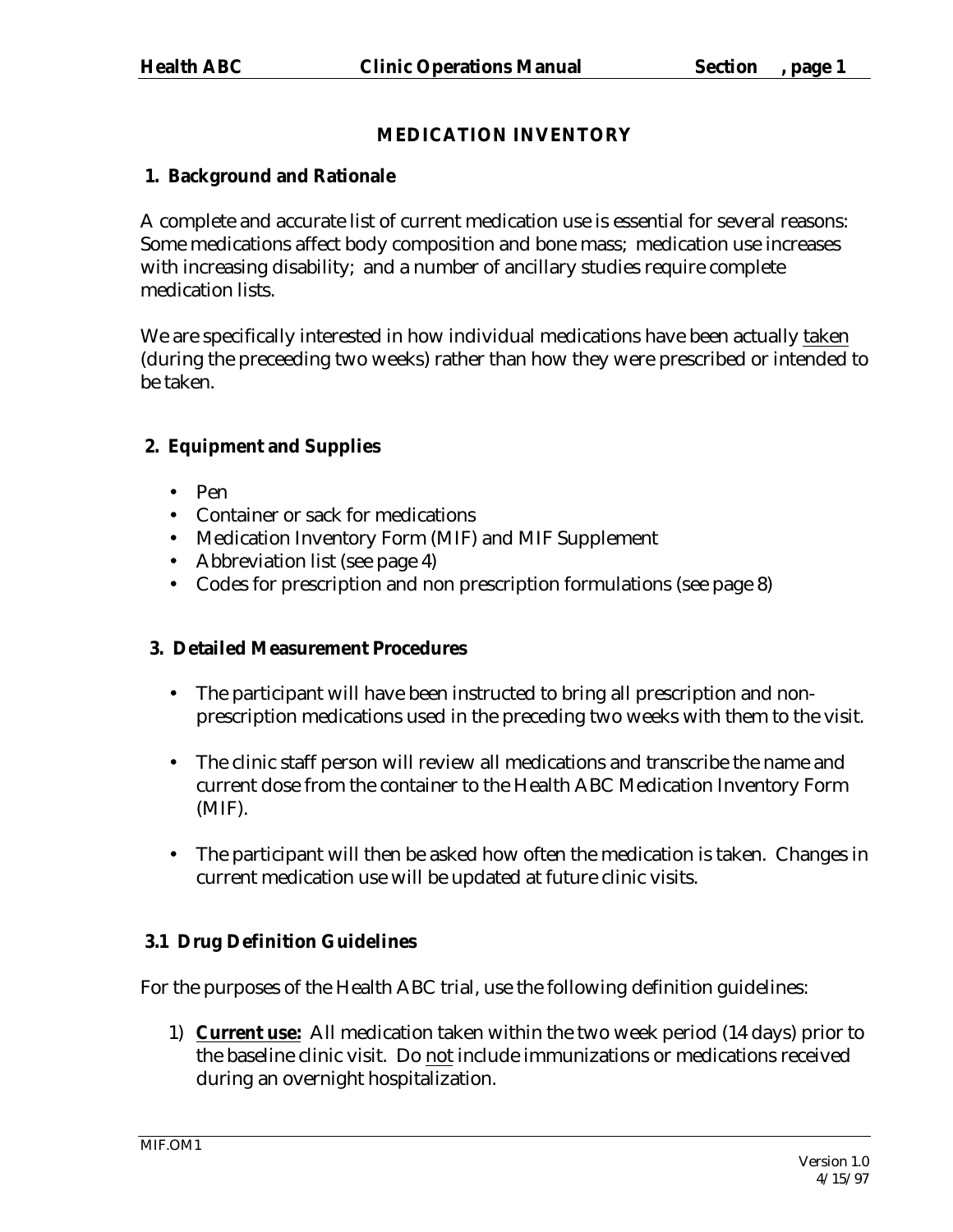# **MEDICATION INVENTORY**

# **1. Background and Rationale**

A complete and accurate list of current medication use is essential for several reasons: Some medications affect body composition and bone mass; medication use increases with increasing disability; and a number of ancillary studies require complete medication lists.

We are specifically interested in how individual medications have been actually taken (during the preceeding two weeks) rather than how they were prescribed or intended to be taken.

# **2. Equipment and Supplies**

- Pen
- Container or sack for medications
- Medication Inventory Form (MIF) and MIF Supplement
- Abbreviation list (see page 4)
- Codes for prescription and non prescription formulations (see page 8)

# **3. Detailed Measurement Procedures**

- The participant will have been instructed to bring all prescription and nonprescription medications used in the preceding two weeks with them to the visit.
- The clinic staff person will review all medications and transcribe the name and current dose from the container to the Health ABC Medication Inventory Form (MIF).
- The participant will then be asked how often the medication is taken. Changes in current medication use will be updated at future clinic visits.

# **3.1 Drug Definition Guidelines**

For the purposes of the Health ABC trial, use the following definition guidelines:

1) **Current use:** All medication taken within the two week period (14 days) prior to the baseline clinic visit. Do not include immunizations or medications received during an overnight hospitalization.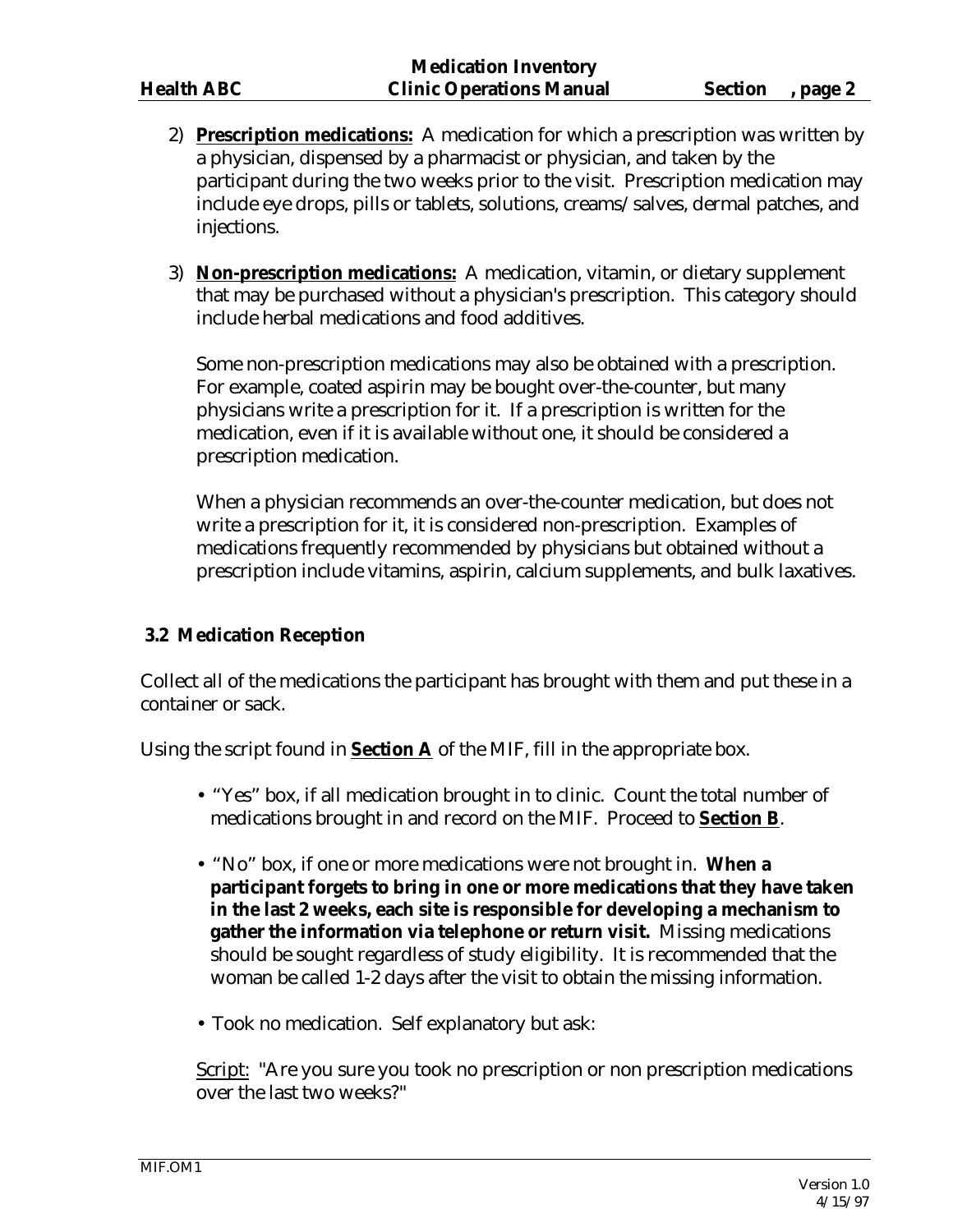- 2) **Prescription medications:** A medication for which a prescription was written by a physician, dispensed by a pharmacist or physician, and taken by the participant during the two weeks prior to the visit. Prescription medication may include eye drops, pills or tablets, solutions, creams/salves, dermal patches, and injections.
- 3) **Non-prescription medications:** A medication, vitamin, or dietary supplement that may be purchased without a physician's prescription. This category should include herbal medications and food additives.

Some non-prescription medications may also be obtained with a prescription. For example, coated aspirin may be bought over-the-counter, but many physicians write a prescription for it. If a prescription is written for the medication, even if it is available without one, it should be considered a prescription medication.

When a physician recommends an over-the-counter medication, but does not write a prescription for it, it is considered non-prescription. Examples of medications frequently recommended by physicians but obtained without a prescription include vitamins, aspirin, calcium supplements, and bulk laxatives.

## **3.2 Medication Reception**

Collect all of the medications the participant has brought with them and put these in a container or sack.

Using the script found in **Section A** of the MIF, fill in the appropriate box.

- "Yes" box, if all medication brought in to clinic. Count the total number of medications brought in and record on the MIF. Proceed to **Section B**.
- "No" box, if one or more medications were not brought in. **When a participant forgets to bring in one or more medications that they have taken in the last 2 weeks, each site is responsible for developing a mechanism to gather the information via telephone or return visit.** Missing medications should be sought regardless of study eligibility. It is recommended that the woman be called 1-2 days after the visit to obtain the missing information.
- Took no medication. Self explanatory but ask:

Script: "Are you sure you took no prescription or non prescription medications over the last two weeks?"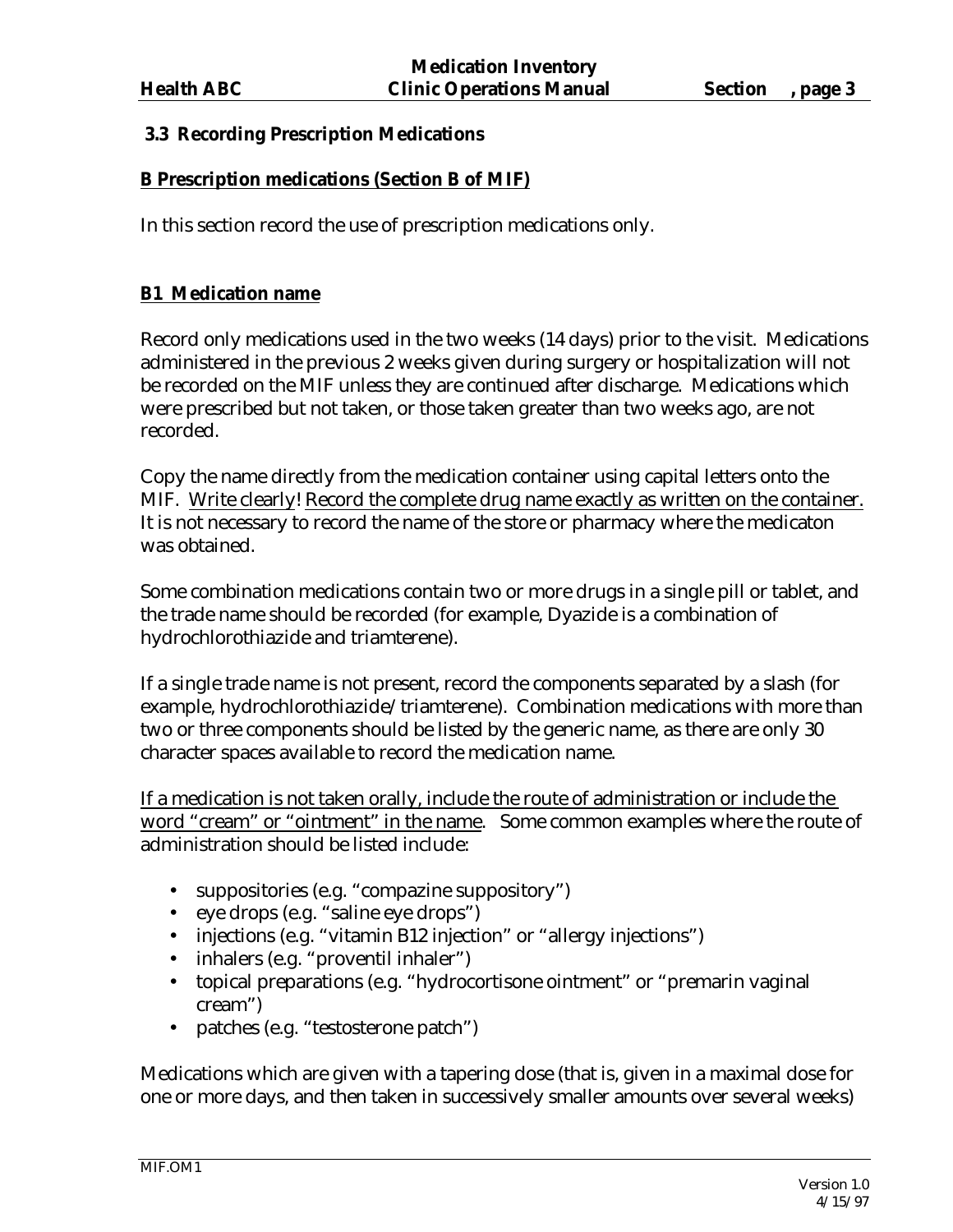## **3.3 Recording Prescription Medications**

## **B Prescription medications (Section B of MIF)**

In this section record the use of prescription medications only.

## **B1 Medication name**

Record only medications used in the two weeks (14 days) prior to the visit. Medications administered in the previous 2 weeks given during surgery or hospitalization will not be recorded on the MIF unless they are continued after discharge. Medications which were prescribed but not taken, or those taken greater than two weeks ago, are not recorded.

Copy the name directly from the medication container using capital letters onto the MIF. Write clearly! Record the complete drug name exactly as written on the container. It is not necessary to record the name of the store or pharmacy where the medicaton was obtained.

Some combination medications contain two or more drugs in a single pill or tablet, and the trade name should be recorded (for example, Dyazide is a combination of hydrochlorothiazide and triamterene).

If a single trade name is not present, record the components separated by a slash (for example, hydrochlorothiazide/triamterene). Combination medications with more than two or three components should be listed by the generic name, as there are only 30 character spaces available to record the medication name.

If a medication is not taken orally, include the route of administration or include the word "cream" or "ointment" in the name. Some common examples where the route of administration should be listed include:

- suppositories (e.g. "compazine suppository")
- eye drops (e.g. "saline eye drops")
- injections (e.g. "vitamin B12 injection" or "allergy injections")
- inhalers (e.g. "proventil inhaler")
- topical preparations (e.g. "hydrocortisone ointment" or "premarin vaginal cream")
- patches (e.g. "testosterone patch")

Medications which are given with a tapering dose (that is, given in a maximal dose for one or more days, and then taken in successively smaller amounts over several weeks)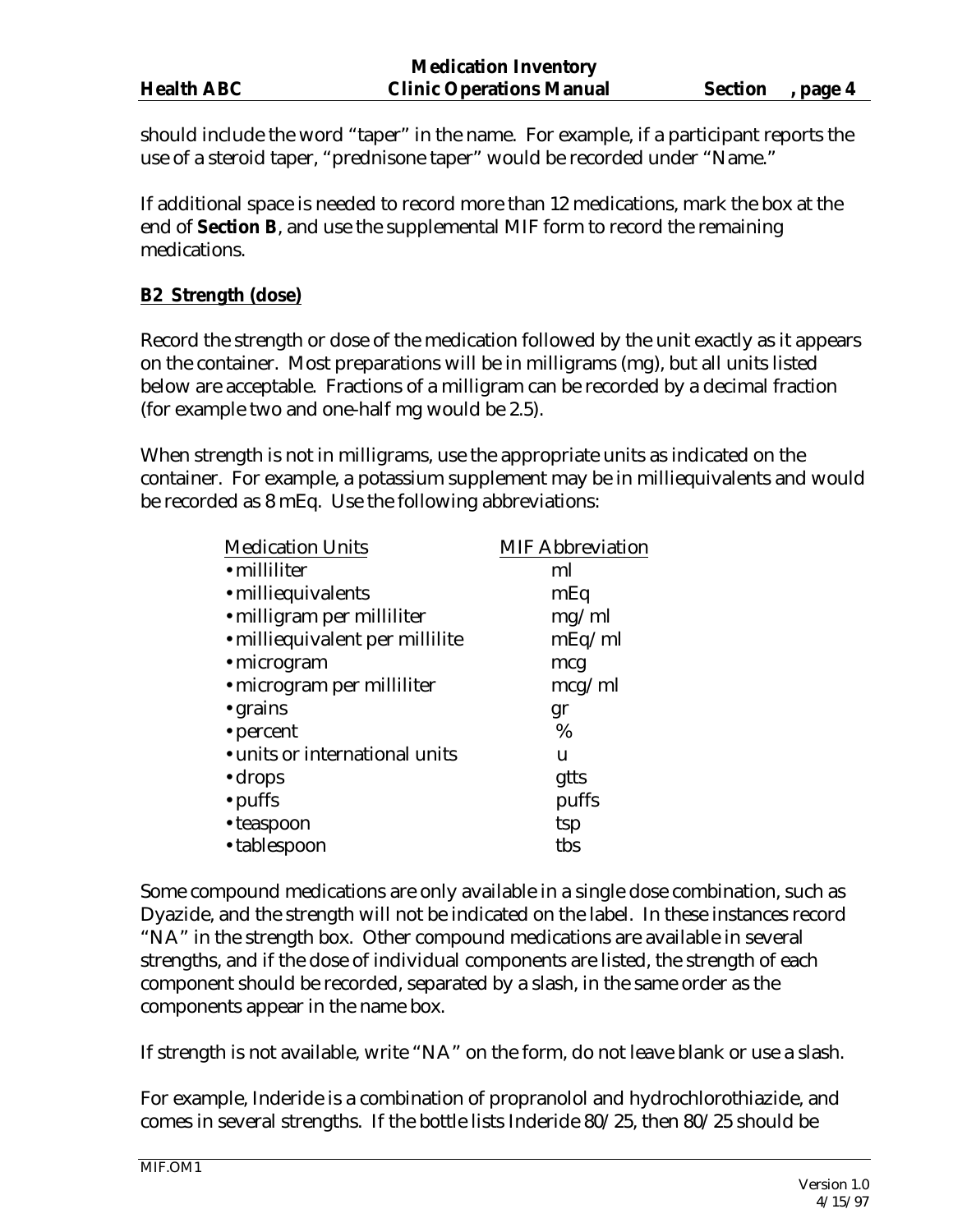| <b>Health ABC</b> |  |
|-------------------|--|
|                   |  |

should include the word "taper" in the name. For example, if a participant reports the use of a steroid taper, "prednisone taper" would be recorded under "Name."

If additional space is needed to record more than 12 medications, mark the box at the end of **Section B**, and use the supplemental MIF form to record the remaining medications.

# **B2 Strength (dose)**

Record the strength or dose of the medication followed by the unit exactly as it appears on the container. Most preparations will be in milligrams (mg), but all units listed below are acceptable. Fractions of a milligram can be recorded by a decimal fraction (for example two and one-half mg would be 2.5).

When strength is not in milligrams, use the appropriate units as indicated on the container. For example, a potassium supplement may be in milliequivalents and would be recorded as 8 mEq. Use the following abbreviations:

| <b>Medication Units</b>         | <b>MIF Abbreviation</b> |
|---------------------------------|-------------------------|
| • milliliter                    | ml                      |
| • milliequivalents              | mEq                     |
| · milligram per milliliter      | mg/ml                   |
| • milliequivalent per millilite | mEq/ml                  |
| · microgram                     | mcg                     |
| • microgram per milliliter      | mcg/ml                  |
| • grains                        | gr                      |
| • percent                       | $\%$                    |
| • units or international units  | u                       |
| $\cdot$ drops                   | gtts                    |
| $\cdot$ puffs                   | puffs                   |
| • teaspoon                      | tsp                     |
| • tablespoon                    | tbs                     |
|                                 |                         |

Some compound medications are only available in a single dose combination, such as Dyazide, and the strength will not be indicated on the label. In these instances record "NA" in the strength box. Other compound medications are available in several strengths, and if the dose of individual components are listed, the strength of each component should be recorded, separated by a slash, in the same order as the components appear in the name box.

If strength is not available, write "NA" on the form, do not leave blank or use a slash.

For example, Inderide is a combination of propranolol and hydrochlorothiazide, and comes in several strengths. If the bottle lists Inderide 80/25, then 80/25 should be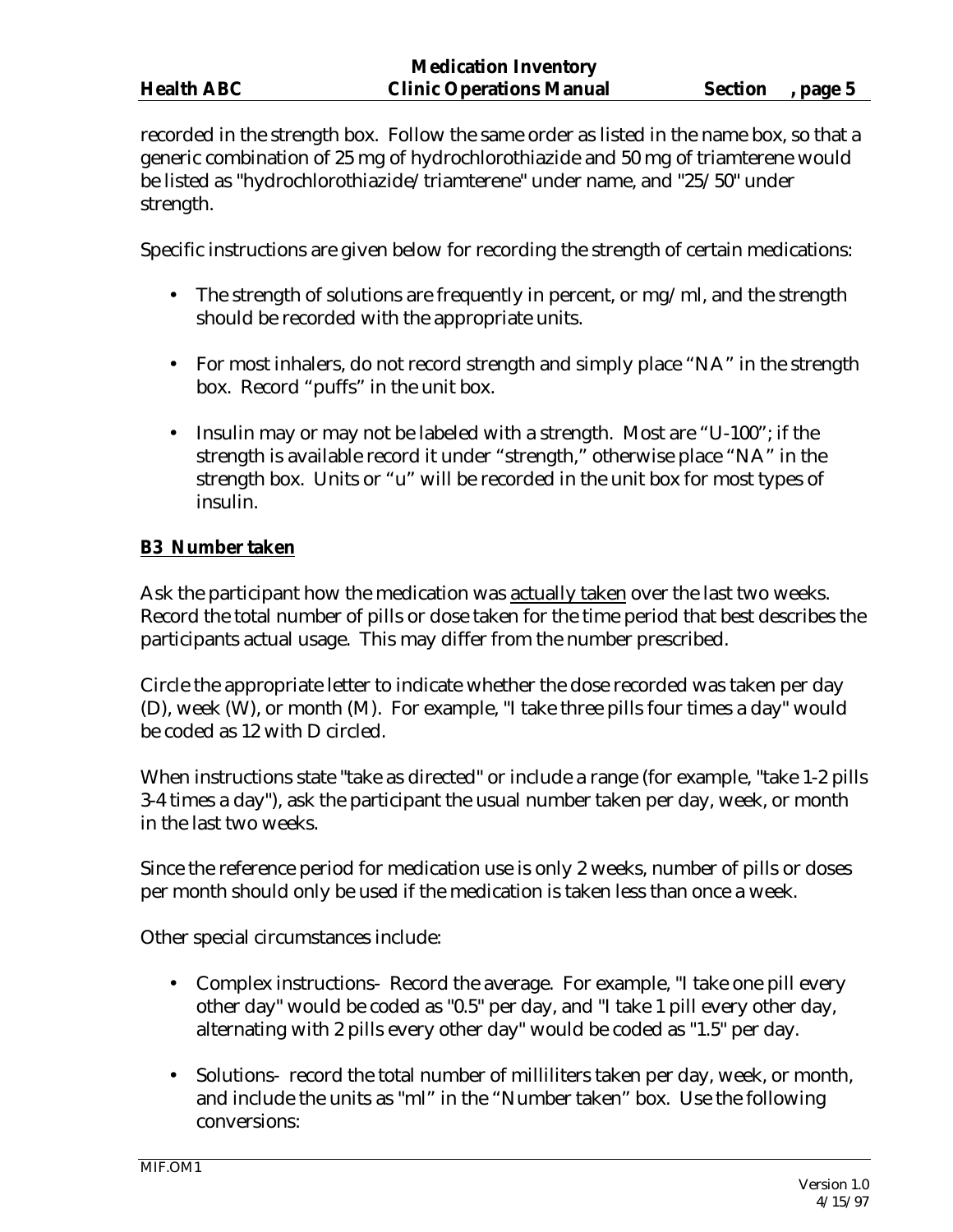recorded in the strength box. Follow the same order as listed in the name box, so that a generic combination of 25 mg of hydrochlorothiazide and 50 mg of triamterene would be listed as "hydrochlorothiazide/triamterene" under name, and "25/50" under strength.

Specific instructions are given below for recording the strength of certain medications:

- The strength of solutions are frequently in percent, or mg/ml, and the strength should be recorded with the appropriate units.
- For most inhalers, do not record strength and simply place "NA" in the strength box. Record "puffs" in the unit box.
- Insulin may or may not be labeled with a strength. Most are "U-100"; if the strength is available record it under "strength," otherwise place "NA" in the strength box. Units or "u" will be recorded in the unit box for most types of insulin.

## **B3 Number taken**

Ask the participant how the medication was actually taken over the last two weeks. Record the total number of pills or dose taken for the time period that best describes the participants actual usage. This may differ from the number prescribed.

Circle the appropriate letter to indicate whether the dose recorded was taken per day (D), week (W), or month (M). For example, "I take three pills four times a day" would be coded as 12 with D circled.

When instructions state "take as directed" or include a range (for example, "take 1-2 pills 3-4 times a day"), ask the participant the usual number taken per day, week, or month in the last two weeks.

Since the reference period for medication use is only 2 weeks, number of pills or doses per month should only be used if the medication is taken less than once a week.

Other special circumstances include:

- Complex instructions- Record the average. For example, "I take one pill every other day" would be coded as "0.5" per day, and "I take 1 pill every other day, alternating with 2 pills every other day" would be coded as "1.5" per day.
- Solutions- record the total number of milliliters taken per day, week, or month, and include the units as "ml" in the "Number taken" box. Use the following conversions: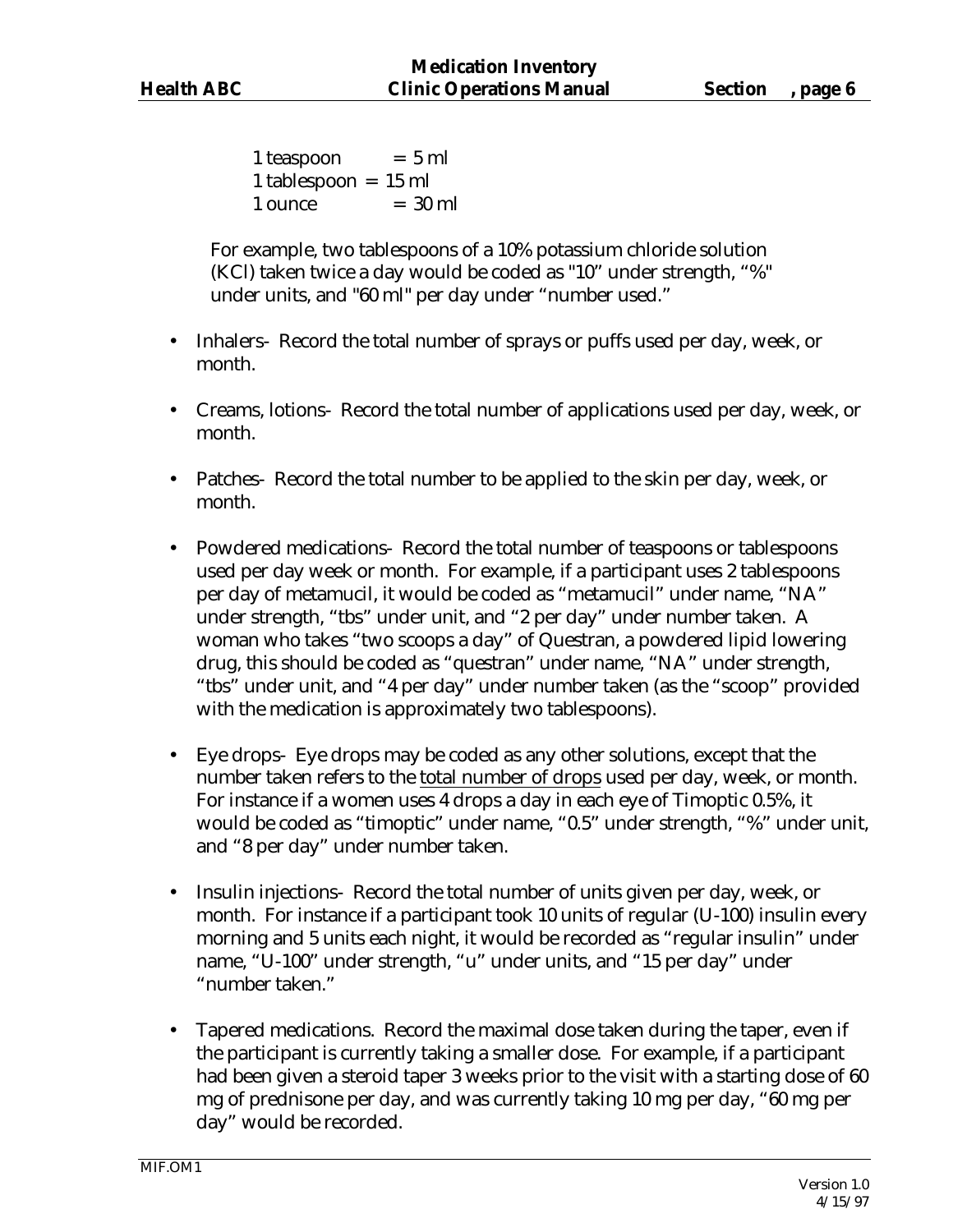$1$  teaspoon  $= 5$  ml 1 tablespoon = 15 ml  $1$  ounce  $= 30$  ml

For example, two tablespoons of a 10% potassium chloride solution (KCl) taken twice a day would be coded as "10" under strength, "%" under units, and "60 ml" per day under "number used."

- Inhalers-Record the total number of sprays or puffs used per day, week, or month.
- Creams, lotions- Record the total number of applications used per day, week, or month.
- Patches- Record the total number to be applied to the skin per day, week, or month.
- Powdered medications- Record the total number of teaspoons or tablespoons used per day week or month. For example, if a participant uses 2 tablespoons per day of metamucil, it would be coded as "metamucil" under name, "NA" under strength, "tbs" under unit, and "2 per day" under number taken. A woman who takes "two scoops a day" of Questran, a powdered lipid lowering drug, this should be coded as "questran" under name, "NA" under strength, "tbs" under unit, and "4 per day" under number taken (as the "scoop" provided with the medication is approximately two tablespoons).
- Eye drops- Eye drops may be coded as any other solutions, except that the number taken refers to the total number of drops used per day, week, or month. For instance if a women uses 4 drops a day in each eye of Timoptic 0.5%, it would be coded as "timoptic" under name, "0.5" under strength, "%" under unit, and "8 per day" under number taken.
- Insulin injections- Record the total number of units given per day, week, or month. For instance if a participant took 10 units of regular (U-100) insulin every morning and 5 units each night, it would be recorded as "regular insulin" under name, "U-100" under strength, "u" under units, and "15 per day" under "number taken."
- Tapered medications. Record the maximal dose taken during the taper, even if the participant is currently taking a smaller dose. For example, if a participant had been given a steroid taper 3 weeks prior to the visit with a starting dose of 60 mg of prednisone per day, and was currently taking 10 mg per day, "60 mg per day" would be recorded.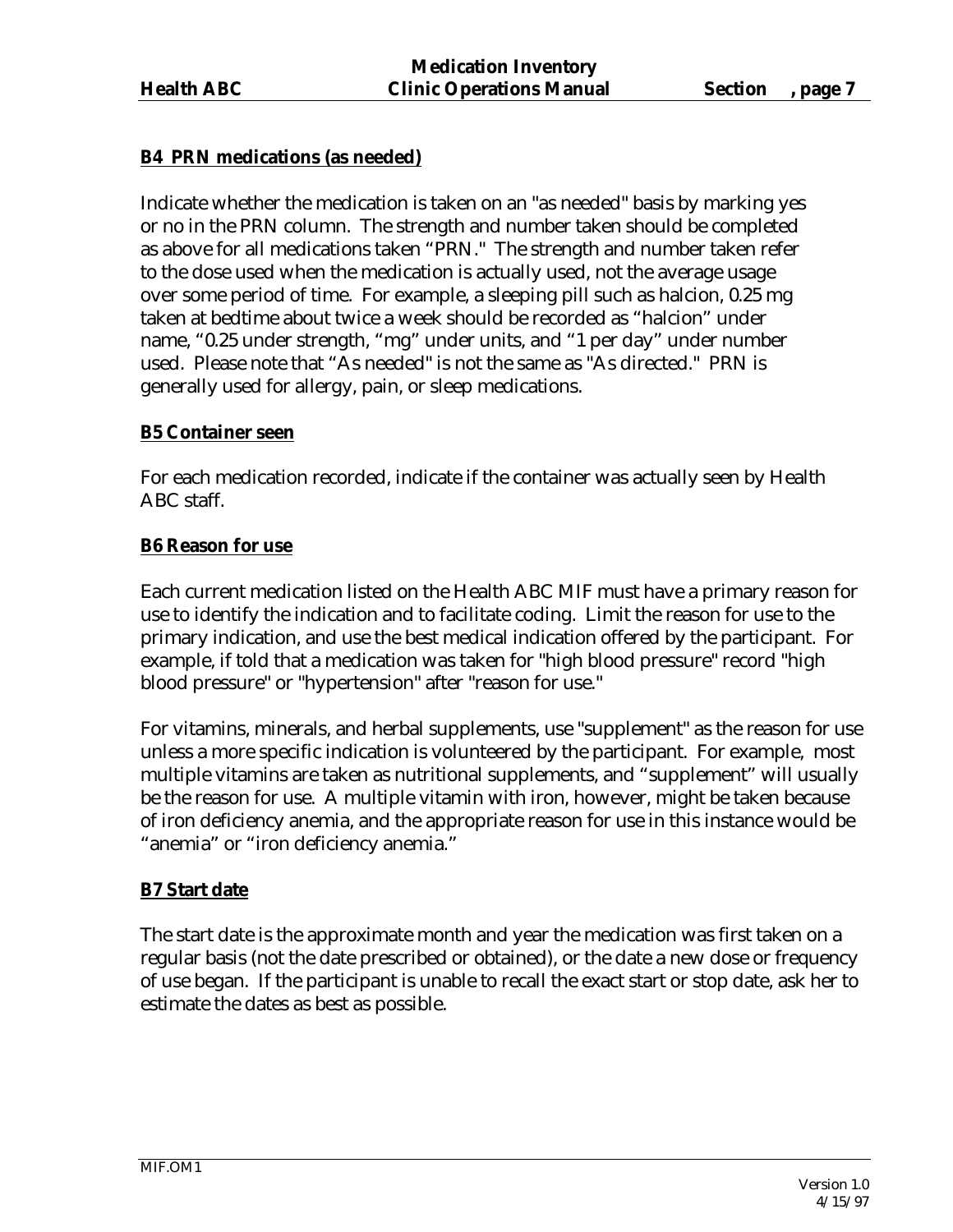# **B4 PRN medications (as needed)**

Indicate whether the medication is taken on an "as needed" basis by marking yes or no in the PRN column. The strength and number taken should be completed as above for all medications taken "PRN." The strength and number taken refer to the dose used when the medication is actually used, not the average usage over some period of time. For example, a sleeping pill such as halcion, 0.25 mg taken at bedtime about twice a week should be recorded as "halcion" under name, "0.25 under strength, "mg" under units, and "1 per day" under number used. Please note that "As needed" is not the same as "As directed." PRN is generally used for allergy, pain, or sleep medications.

## **B5 Container seen**

For each medication recorded, indicate if the container was actually seen by Health ABC staff.

#### **B6 Reason for use**

Each current medication listed on the Health ABC MIF must have a primary reason for use to identify the indication and to facilitate coding. Limit the reason for use to the primary indication, and use the best medical indication offered by the participant. For example, if told that a medication was taken for "high blood pressure" record "high blood pressure" or "hypertension" after "reason for use."

For vitamins, minerals, and herbal supplements, use "supplement" as the reason for use unless a more specific indication is volunteered by the participant. For example, most multiple vitamins are taken as nutritional supplements, and "supplement" will usually be the reason for use. A multiple vitamin with iron, however, might be taken because of iron deficiency anemia, and the appropriate reason for use in this instance would be "anemia" or "iron deficiency anemia."

## **B7 Start date**

The start date is the approximate month and year the medication was first taken on a regular basis (not the date prescribed or obtained), or the date a new dose or frequency of use began. If the participant is unable to recall the exact start or stop date, ask her to estimate the dates as best as possible.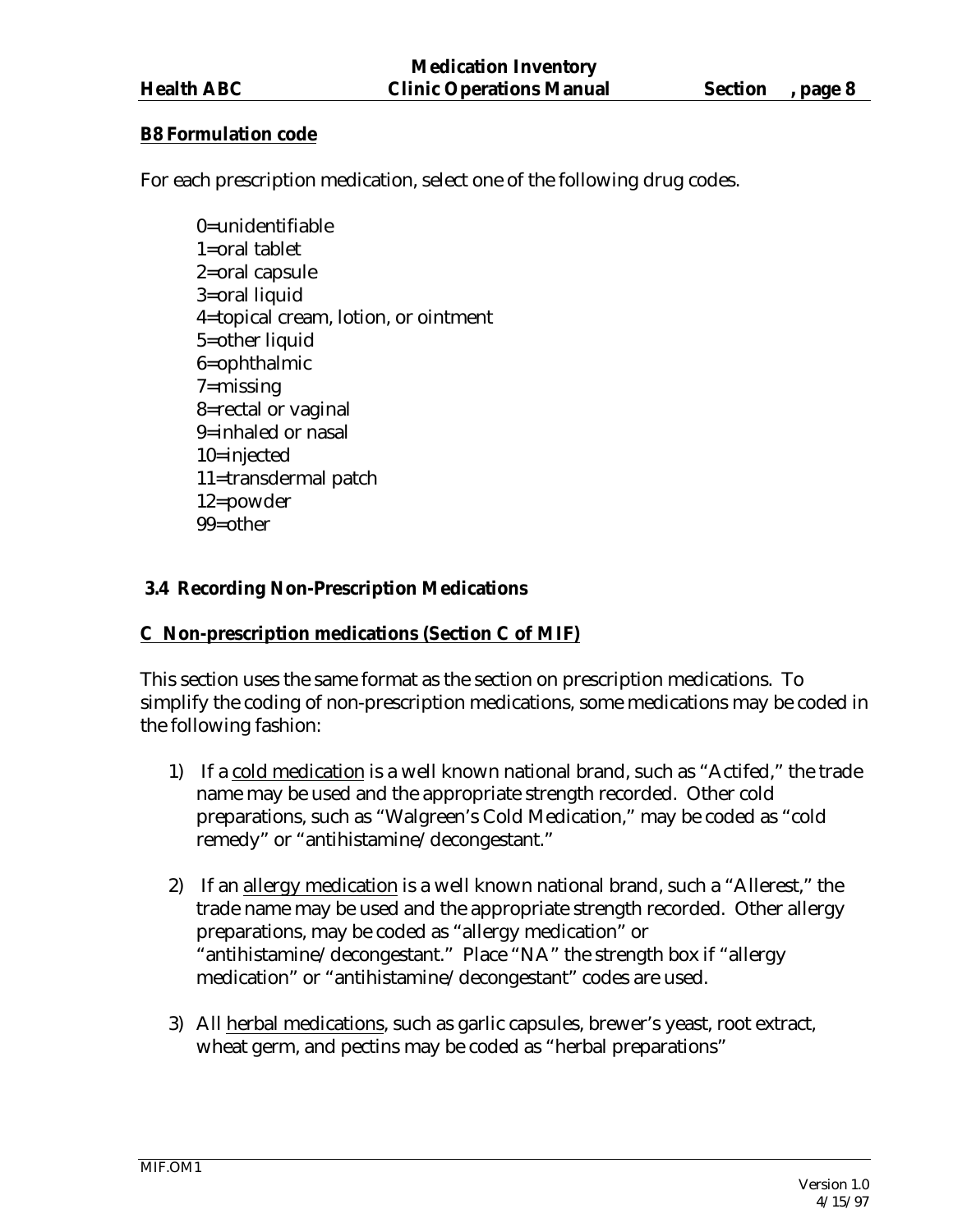#### **B8 Formulation code**

For each prescription medication, select one of the following drug codes.

0=unidentifiable 1=oral tablet 2=oral capsule 3=oral liquid 4=topical cream, lotion, or ointment 5=other liquid 6=ophthalmic 7=missing 8=rectal or vaginal 9=inhaled or nasal 10=injected 11=transdermal patch 12=powder 99=other

## **3.4 Recording Non-Prescription Medications**

## **C Non-prescription medications (Section C of MIF)**

This section uses the same format as the section on prescription medications. To simplify the coding of non-prescription medications, some medications may be coded in the following fashion:

- 1) If a cold medication is a well known national brand, such as "Actifed," the trade name may be used and the appropriate strength recorded. Other cold preparations, such as "Walgreen's Cold Medication," may be coded as "cold remedy" or "antihistamine/decongestant."
- 2) If an allergy medication is a well known national brand, such a "Allerest," the trade name may be used and the appropriate strength recorded. Other allergy preparations, may be coded as "allergy medication" or "antihistamine/decongestant." Place "NA" the strength box if "allergy medication" or "antihistamine/decongestant" codes are used.
- 3) All herbal medications, such as garlic capsules, brewer's yeast, root extract, wheat germ, and pectins may be coded as "herbal preparations"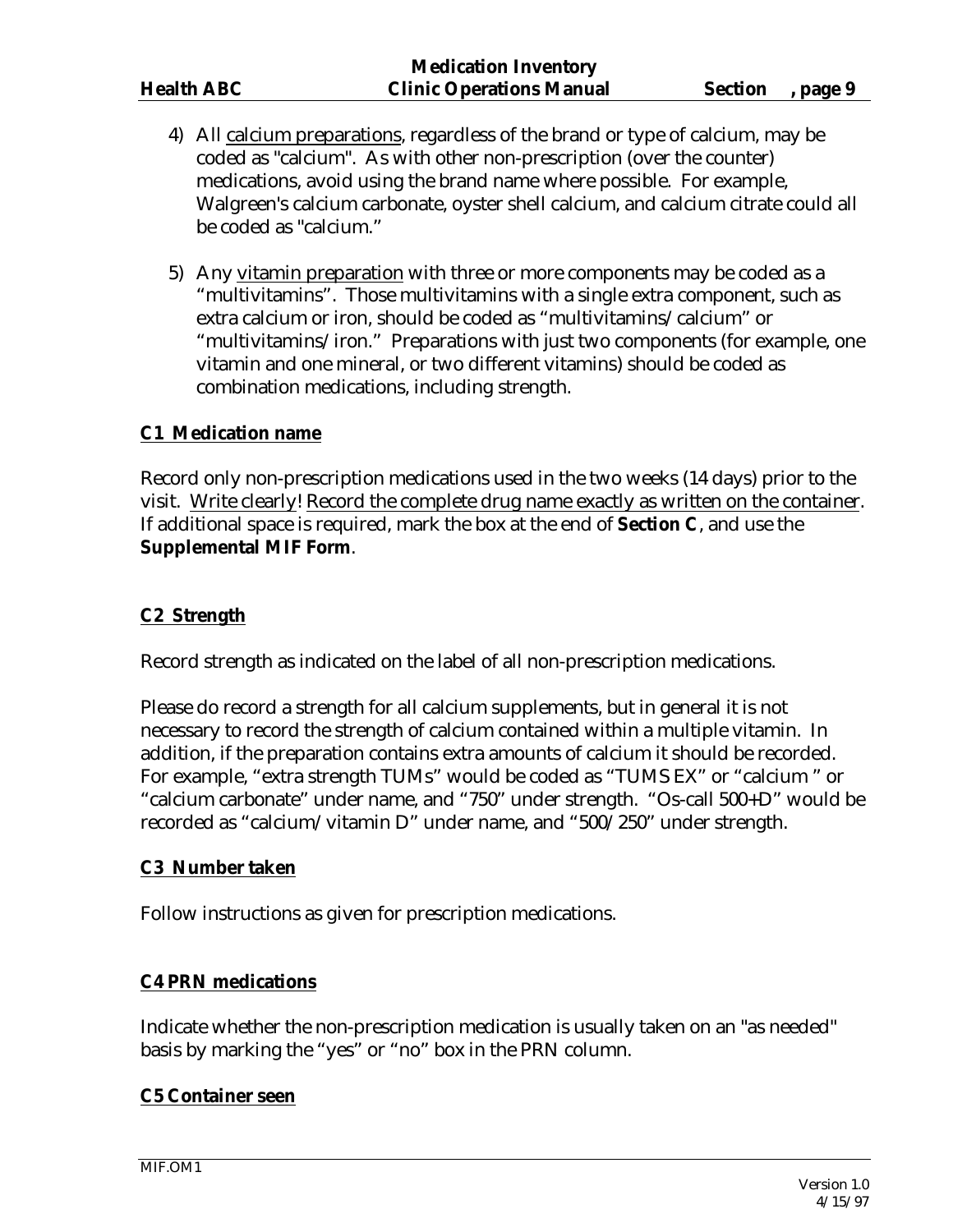- 4) All calcium preparations, regardless of the brand or type of calcium, may be coded as "calcium". As with other non-prescription (over the counter) medications, avoid using the brand name where possible. For example, Walgreen's calcium carbonate, oyster shell calcium, and calcium citrate could all be coded as "calcium."
- 5) Any vitamin preparation with three or more components may be coded as a "multivitamins". Those multivitamins with a single extra component, such as extra calcium or iron, should be coded as "multivitamins/calcium" or "multivitamins/iron." Preparations with just two components (for example, one vitamin and one mineral, or two different vitamins) should be coded as combination medications, including strength.

## **C1 Medication name**

Record only non-prescription medications used in the two weeks (14 days) prior to the visit. Write clearly! Record the complete drug name exactly as written on the container. If additional space is required, mark the box at the end of **Section C**, and use the **Supplemental MIF Form**.

## **C2 Strength**

Record strength as indicated on the label of all non-prescription medications.

Please do record a strength for all calcium supplements, but in general it is not necessary to record the strength of calcium contained within a multiple vitamin. In addition, if the preparation contains extra amounts of calcium it should be recorded. For example, "extra strength TUMs" would be coded as "TUMS EX" or "calcium " or "calcium carbonate" under name, and "750" under strength. "Os-call 500+D" would be recorded as "calcium/vitamin D" under name, and "500/250" under strength.

## **C3 Number taken**

Follow instructions as given for prescription medications.

## **C4 PRN medications**

Indicate whether the non-prescription medication is usually taken on an "as needed" basis by marking the "yes" or "no" box in the PRN column.

## **C5 Container seen**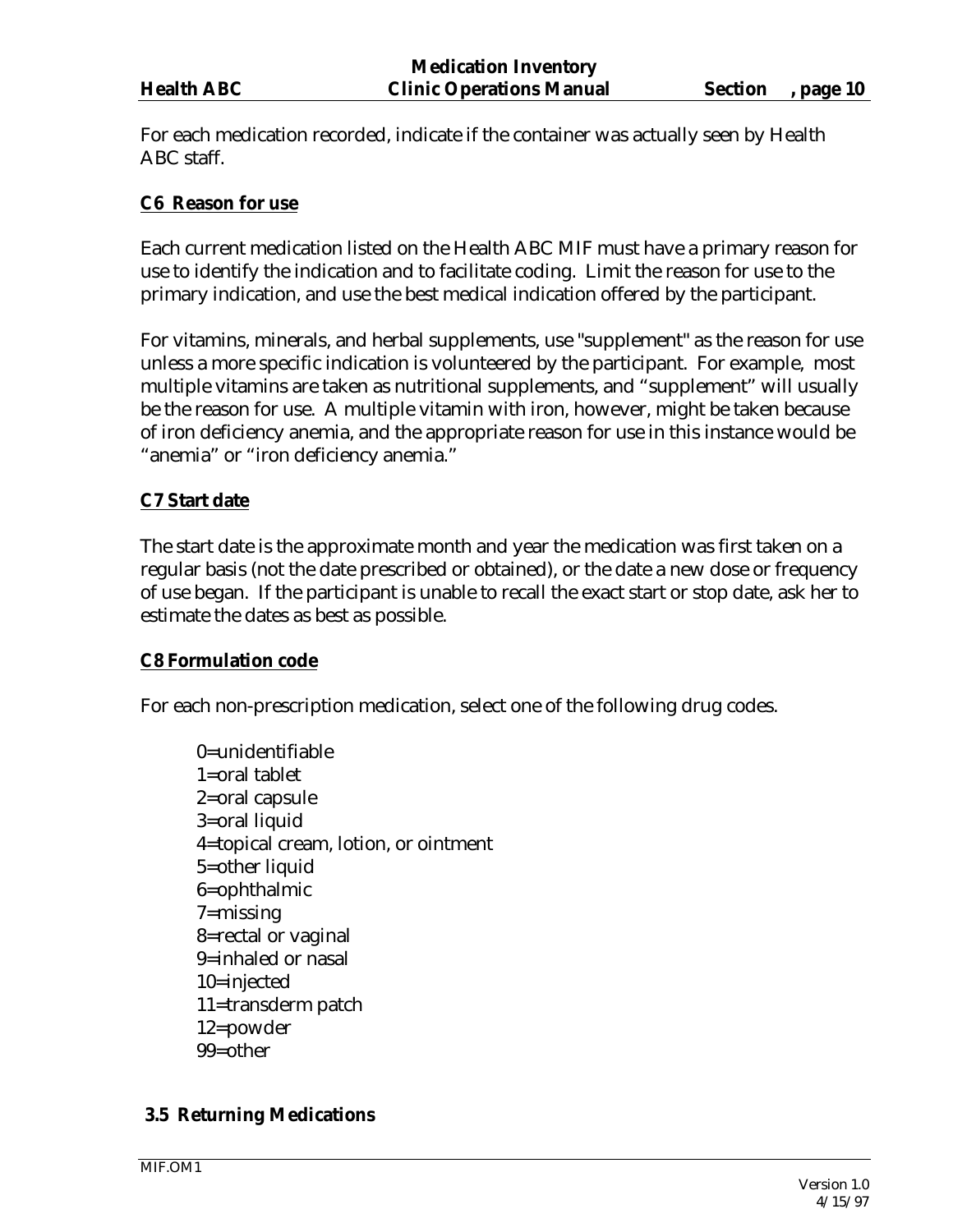For each medication recorded, indicate if the container was actually seen by Health ABC staff.

#### **C6 Reason for use**

Each current medication listed on the Health ABC MIF must have a primary reason for use to identify the indication and to facilitate coding. Limit the reason for use to the primary indication, and use the best medical indication offered by the participant.

For vitamins, minerals, and herbal supplements, use "supplement" as the reason for use unless a more specific indication is volunteered by the participant. For example, most multiple vitamins are taken as nutritional supplements, and "supplement" will usually be the reason for use. A multiple vitamin with iron, however, might be taken because of iron deficiency anemia, and the appropriate reason for use in this instance would be "anemia" or "iron deficiency anemia."

## **C7 Start date**

The start date is the approximate month and year the medication was first taken on a regular basis (not the date prescribed or obtained), or the date a new dose or frequency of use began. If the participant is unable to recall the exact start or stop date, ask her to estimate the dates as best as possible.

#### **C8 Formulation code**

For each non-prescription medication, select one of the following drug codes.

0=unidentifiable 1=oral tablet 2=oral capsule 3=oral liquid 4=topical cream, lotion, or ointment 5=other liquid 6=ophthalmic 7=missing 8=rectal or vaginal 9=inhaled or nasal 10=injected 11=transderm patch 12=powder 99=other

## **3.5 Returning Medications**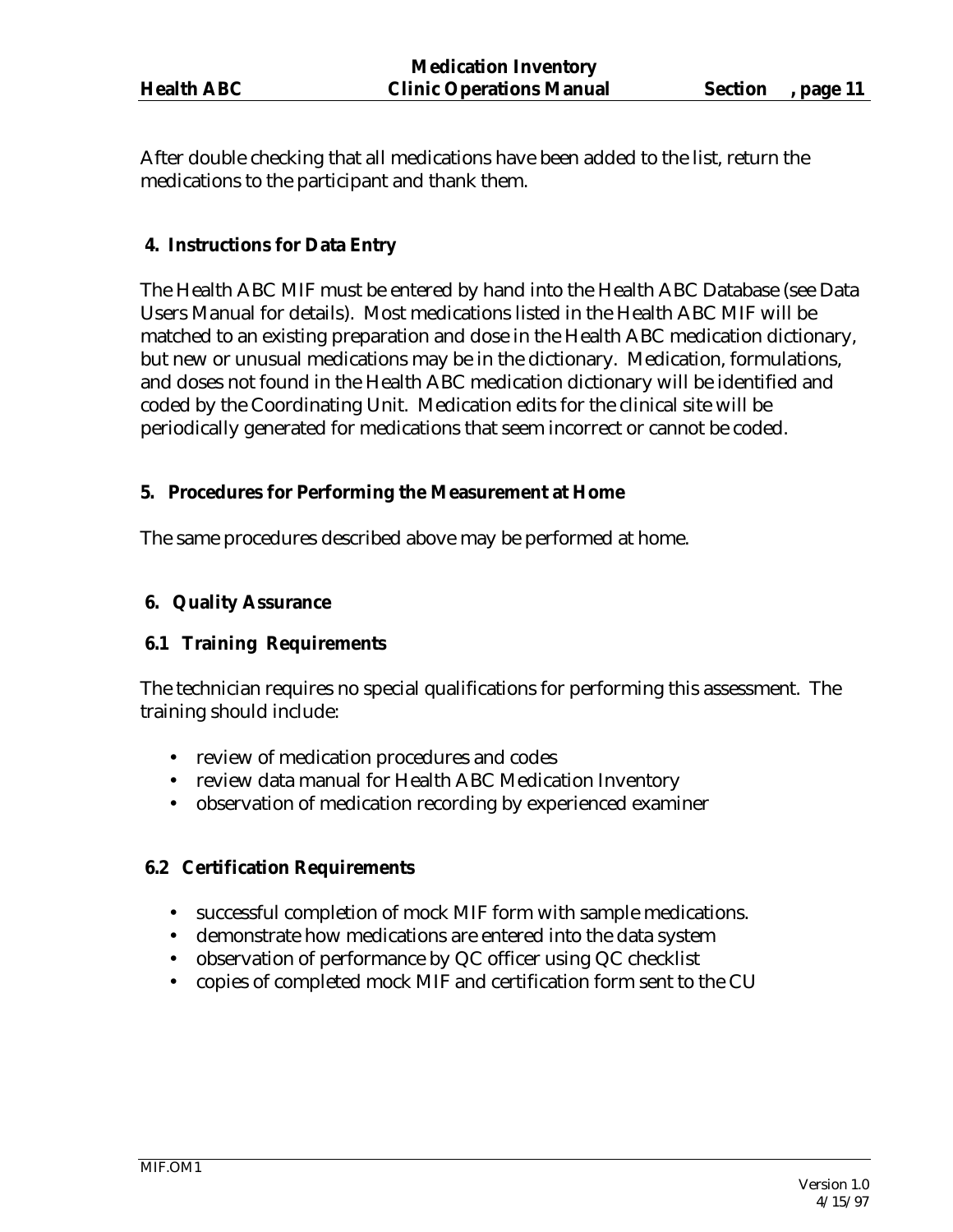After double checking that all medications have been added to the list, return the medications to the participant and thank them.

#### **4. Instructions for Data Entry**

The Health ABC MIF must be entered by hand into the Health ABC Database (see Data Users Manual for details). Most medications listed in the Health ABC MIF will be matched to an existing preparation and dose in the Health ABC medication dictionary, but new or unusual medications may be in the dictionary. Medication, formulations, and doses not found in the Health ABC medication dictionary will be identified and coded by the Coordinating Unit. Medication edits for the clinical site will be periodically generated for medications that seem incorrect or cannot be coded.

#### **5. Procedures for Performing the Measurement at Home**

The same procedures described above may be performed at home.

#### **6. Quality Assurance**

## **6.1 Training Requirements**

The technician requires no special qualifications for performing this assessment. The training should include:

- review of medication procedures and codes
- review data manual for Health ABC Medication Inventory
- observation of medication recording by experienced examiner

## **6.2 Certification Requirements**

- successful completion of mock MIF form with sample medications.
- demonstrate how medications are entered into the data system
- observation of performance by QC officer using QC checklist
- copies of completed mock MIF and certification form sent to the CU